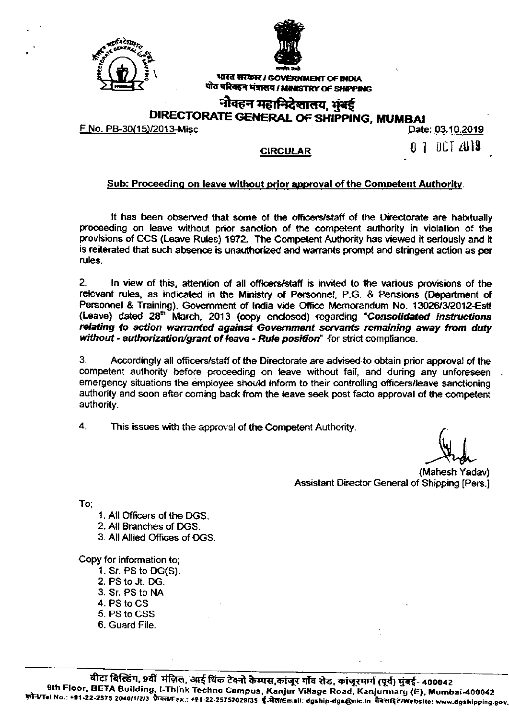



भारत सरकार / GOVERNMENT OF INDIA पोत परिबहन मंत्रालय / MINISTRY OF SHIPPING

# नौवहन महानिदेशातय, मुंबई DIRECTORATE GENERAL OF SHIPPING, MUMBAI

F.No. PB-30(15)/2013-Misc

Date: 03.10.2019 0 7 OCT 2019

### **CIRCULAR**

### Sub: Proceeding on leave without prior approval of the Competent Authority.

It has been observed that some of the officers/staff of the Directorate are habitually proceeding on leave without prior sanction of the competent authority in violation of the provisions of CCS (Leave Rules) 1972. The Competent Authority has viewed it seriously and it is reiterated that such absence is unauthorized and warrants prompt and stringent action as per rules.

 $2.$ In view of this, attention of all officers/staff is invited to the various provisions of the relevant rules, as indicated in the Ministry of Personnel, P.G. & Pensions (Department of Personnel & Training), Government of India vide Office Memorandum No. 13026/3/2012-Estt (Leave) dated 28<sup>th</sup> March, 2013 (copy enclosed) regarding "Consolidated instructions relating to action warranted against Government servants remaining away from duty without - authorization/grant of leave - Rule position" for strict compliance.

З. Accordingly all officers/staff of the Directorate are advised to obtain prior approval of the competent authority before proceeding on leave without fail, and during any unforeseen emergency situations the employee should inform to their controlling officers/leave sanctioning authority and soon after coming back from the leave seek post facto approval of the competent authority.

 $\overline{\mathbf{4}}$ . This issues with the approval of the Competent Authority.

(Mahesh Yadav) Assistant Director General of Shipping [Pers.]

To;

- 1. All Officers of the DGS.
- 2. All Branches of DGS.
- 3. All Allied Offices of DGS.

Copy for information to:

- 1. Sr. PS to DG(S).
- 2. PS to Jt. DG.
- 3. Sr. PS to NA
- 4. PS to CS
- 5. PS to CSS
- 6. Guard File.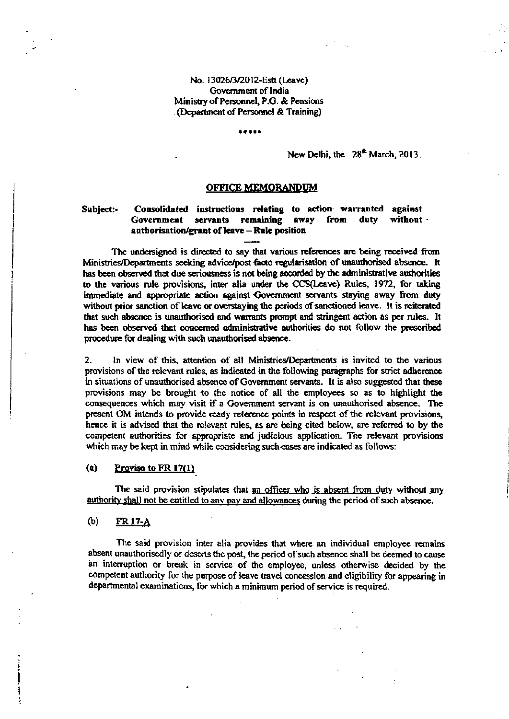### No. 13026/3/2012-Estt (Leave) Government of India Ministry of Personnel, P.G. & Pensions (Department of Personnel & Training)

\*\*\*\*\*

### New Delhi, the  $28<sup>th</sup>$  March, 2013.

### **OFFICE MEMORANDUM**

#### Consolidated instructions relating to action warranted against Subject:-Government servants remaining away from duty without . authorisation/grant of leave - Rule position

The undersigned is directed to say that various references are being received from Ministries/Departments seeking advice/post facto regularisation of unauthorised absence. It has been observed that due seriousness is not being accorded by the administrative authorities to the various rule provisions, inter alia under the CCS(Leave) Rules, 1972, for taking immediate and appropriate action against Government servants staying away from duty without prior sanction of leave or overstaying the periods of sanctioned leave. It is reiterated that such absence is unauthorised and warrants prompt and stringent action as per rules. It has been observed that concerned administrative authorities do not follow the prescribed procedure for dealing with such unauthorised absence.

In view of this, attention of all Ministries/Departments is invited to the various 2. provisions of the relevant rules, as indicated in the following paragraphs for strict adherence in situations of unauthorised absence of Government servants. It is also suggested that these provisions may be brought to the notice of all the employees so as to highlight the consequences which may visit if a Government servant is on unauthorised absence. The present OM intends to provide ready reference points in respect of the relevant provisions, hence it is advised that the relevant rules, as are being cited below, are referred to by the competent authorities for appropriate and judicious application. The relevant provisions which may be kept in mind while considering such cases are indicated as follows:

#### $(a)$ Proviso to FR 17(1)

The said provision stipulates that an officer who is absent from duty without any authority shall not be entitled to any pay and allowances during the period of such absence.

 $(b)$ **FR 17-A** 

The said provision inter alia provides that where an individual employee remains absent unauthorisedly or deserts the post, the period of such absence shall be deemed to cause an interruption or break in service of the employee, unless otherwise decided by the competent authority for the purpose of leave travel concession and eligibility for appearing in departmental examinations, for which a minimum period of service is required.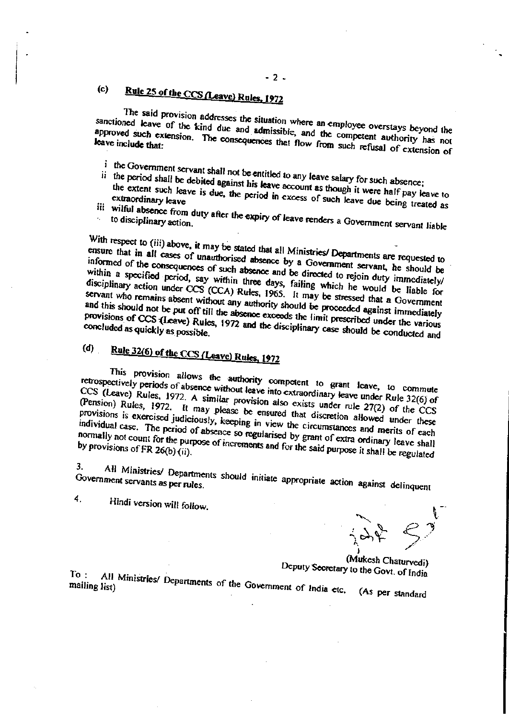### Rule 25 of the CCS (Leave) Rules, 1972  $(c)$

The said provision addresses the situation where an employee overstays beyond the sanctioned leave of the kind due and admissible, and the competent authority has not approved such extension. The consequences that flow from such refusal of extension of leave include that:

 $-2 -$ 

- i the Government servant shall not be entitled to any leave salary for such absence; ii the period shall be debited against his leave account as though it were half pay leave to
- the extent such leave is due, the period in excess of such leave due being treated as
- iii wilful absence from duty after the expiry of leave renders a Government servant liable

With respect to (iii) above, it may be stated that all Ministries/ Departments are requested to ensure that in all cases of unauthorised absence by a Government servant, he should be informed of the consequences of such absence and be directed to rejoin duty immediately/ within a specified period, say within three days, failing which he would be liable for disciplinary action under CCS (CCA) Rules, 1965. It may be stressed that a Government servant who remains absent without any authority should be proceeded against immediately and this should not be put off till the absence exceeds the limit prescribed under the various provisions of CCS (Leave) Rules, 1972 and the disciplinary case should be conducted and

## $(d)$ Rule 32(6) of the CCS (Leave) Rules, 1972

This provision allows the authority competent to grant leave, to commute retrospectively periods of absence without leave into extraordinary leave under Rule 32(6) of CCS (Leave) Rules, 1972. A similar provision also exists under rule 27(2) of the CCS (Pension) Rules, 1972. It may please be ensured that discretion allowed under these provisions is exercised judiciously, keeping in view the circumstances and merits of each individual case. The period of absence so regularised by grant of extra ordinary leave shall normally not count for the purpose of increments and for the said purpose it shall be regulated by provisions of FR 26(b) (ii).

 $3.$ All Ministries/ Departments should initiate appropriate action against delinquent Government servants as per rules.

4. Hindi version will follow.

(Mukesh Chaturvedi) Deputy Secretary to the Govt. of India

All Ministries/ Departments of the Government of India etc. (As per standard  $To:$ mailing list)